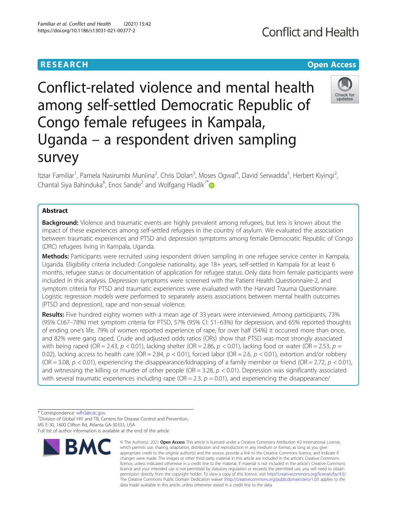## **RESEARCH CHE Open Access**

# Conflict-related violence and mental health among self-settled Democratic Republic of Congo female refugees in Kampala, Uganda – a respondent driven sampling survey

Itziar Familiar<sup>1</sup>, Pamela Nasirumbi Muniina<sup>2</sup>, Chris Dolan<sup>3</sup>, Moses Ogwal<sup>4</sup>, David Serwadda<sup>5</sup>, Herbert Kiyingi<sup>2</sup> , Chantal Siya Bahinduka<sup>6</sup>, Enos Sande<sup>2</sup> and Wolfgang Hladik<sup>7[\\*](http://orcid.org/0000-0002-3869-1711)</sup>

### Abstract

**Background:** Violence and traumatic events are highly prevalent among refugees, but less is known about the impact of these experiences among self-settled refugees in the country of asylum. We evaluated the association between traumatic experiences and PTSD and depression symptoms among female Democratic Republic of Congo (DRC) refugees living in Kampala, Uganda.

Methods: Participants were recruited using respondent driven sampling in one refugee service center in Kampala, Uganda. Eligibility criteria included: Congolese nationality, age 18+ years, self-settled in Kampala for at least 6 months, refugee status or documentation of application for refugee status. Only data from female participants were included in this analysis. Depression symptoms were screened with the Patient Health Questionnaire-2, and symptom criteria for PTSD and traumatic experiences were evaluated with the Harvard Trauma Questionnaire. Logistic regression models were performed to separately assess associations between mental health outcomes (PTSD and depression), rape and non-sexual violence.

Results: Five hundred eighty women with a mean age of 33 years were interviewed. Among participants, 73% (95% CI:67–78%) met symptom criteria for PTSD, 57% (95% CI: 51–63%) for depression, and 65% reported thoughts of ending one's life. 79% of women reported experience of rape, for over half (54%) it occurred more than once, and 82% were gang raped. Crude and adjusted odds ratios (ORs) show that PTSD was most strongly associated with being raped (OR = 2.43,  $p < 0.01$ ), lacking shelter (OR = 2.86,  $p < 0.01$ ), lacking food or water (OR = 2.53,  $p =$ 0.02), lacking access to health care (OR = 2.84,  $p < 0.01$ ), forced labor (OR = 2.6,  $p < 0.01$ ), extortion and/or robbery (OR = 3.08,  $p < 0.01$ ), experiencing the disappearance/kidnapping of a family member or friend (OR = 2.72,  $p < 0.01$ ), and witnessing the killing or murder of other people ( $OR = 3.28$ ,  $p < 0.01$ ). Depression was significantly associated with several traumatic experiences including rape ( $OR = 2.3$ ,  $p = 0.01$ ), and experiencing the disappearance/

\* Correspondence: [wfh3@cdc.gov](mailto:wfh3@cdc.gov) <sup>7</sup>

<sup>7</sup> Division of Global HIV and TB, Centers for Disease Control and Prevention, MS E-30, 1600 Clifton Rd, Atlanta GA-30333, USA





Full list of author information is available at the end of the article

**Conflict and Health** 

<sup>©</sup> The Author(s), 2021 **Open Access** This article is licensed under a Creative Commons Attribution 4.0 International License, which permits use, sharing, adaptation, distribution and reproduction in any medium or format, as long as you give appropriate credit to the original author(s) and the source, provide a link to the Creative Commons licence, and indicate if changes were made. The images or other third party material in this article are included in the article's Creative Commons licence, unless indicated otherwise in a credit line to the material. If material is not included in the article's Creative Commons licence and your intended use is not permitted by statutory regulation or exceeds the permitted use, you will need to obtain permission directly from the copyright holder. To view a copy of this licence, visit [http://creativecommons.org/licenses/by/4.0/.](http://creativecommons.org/licenses/by/4.0/) The Creative Commons Public Domain Dedication waiver [\(http://creativecommons.org/publicdomain/zero/1.0/](http://creativecommons.org/publicdomain/zero/1.0/)) applies to the data made available in this article, unless otherwise stated in a credit line to the data.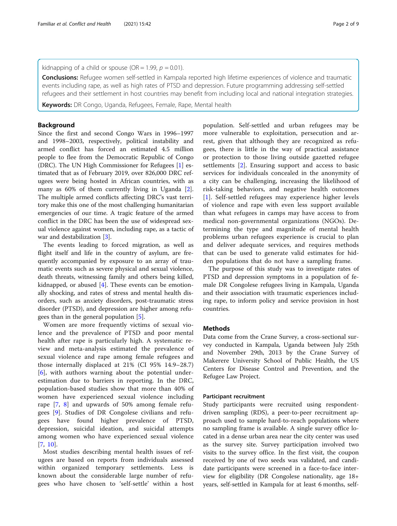kidnapping of a child or spouse (OR = 1.99,  $p = 0.01$ ).

**Conclusions:** Refugee women self-settled in Kampala reported high lifetime experiences of violence and traumatic events including rape, as well as high rates of PTSD and depression. Future programming addressing self-settled refugees and their settlement in host countries may benefit from including local and national integration strategies.

Keywords: DR Congo, Uganda, Refugees, Female, Rape, Mental health

#### Background

Since the first and second Congo Wars in 1996–1997 and 1998–2003, respectively, political instability and armed conflict has forced an estimated 4.5 million people to flee from the Democratic Republic of Congo (DRC). The UN High Commissioner for Refugees [[1\]](#page-8-0) estimated that as of February 2019, over 826,000 DRC refugees were being hosted in African countries, with as many as 60% of them currently living in Uganda [\[2](#page-8-0)]. The multiple armed conflicts affecting DRC's vast territory make this one of the most challenging humanitarian emergencies of our time. A tragic feature of the armed conflict in the DRC has been the use of widespread sexual violence against women, including rape, as a tactic of war and destabilization [\[3](#page-8-0)].

The events leading to forced migration, as well as flight itself and life in the country of asylum, are frequently accompanied by exposure to an array of traumatic events such as severe physical and sexual violence, death threats, witnessing family and others being killed, kidnapped, or abused [[4\]](#page-8-0). These events can be emotionally shocking, and rates of stress and mental health disorders, such as anxiety disorders, post-traumatic stress disorder (PTSD), and depression are higher among refugees than in the general population [[5](#page-8-0)].

Women are more frequently victims of sexual violence and the prevalence of PTSD and poor mental health after rape is particularly high. A systematic review and meta-analysis estimated the prevalence of sexual violence and rape among female refugees and those internally displaced at 21% (CI 95% 14.9–28.7) [[6\]](#page-8-0), with authors warning about the potential underestimation due to barriers in reporting. In the DRC, population-based studies show that more than 40% of women have experienced sexual violence including rape [[7](#page-8-0), [8](#page-8-0)] and upwards of 50% among female refugees [\[9](#page-8-0)]. Studies of DR Congolese civilians and refugees have found higher prevalence of PTSD, depression, suicidal ideation, and suicidal attempts among women who have experienced sexual violence [[7,](#page-8-0) [10](#page-8-0)].

Most studies describing mental health issues of refugees are based on reports from individuals assessed within organized temporary settlements. Less is known about the considerable large number of refugees who have chosen to 'self-settle' within a host

population. Self-settled and urban refugees may be more vulnerable to exploitation, persecution and arrest, given that although they are recognized as refugees, there is little in the way of practical assistance or protection to those living outside gazetted refugee settlements [\[2](#page-8-0)]. Ensuring support and access to basic services for individuals concealed in the anonymity of a city can be challenging, increasing the likelihood of risk-taking behaviors, and negative health outcomes [[1\]](#page-8-0). Self-settled refugees may experience higher levels of violence and rape with even less support available than what refugees in camps may have access to from medical non-governmental organizations (NGOs). Determining the type and magnitude of mental health problems urban refugees experience is crucial to plan and deliver adequate services, and requires methods that can be used to generate valid estimates for hidden populations that do not have a sampling frame.

The purpose of this study was to investigate rates of PTSD and depression symptoms in a population of female DR Congolese refugees living in Kampala, Uganda and their association with traumatic experiences including rape, to inform policy and service provision in host countries.

### Methods

Data come from the Crane Survey, a cross-sectional survey conducted in Kampala, Uganda between July 25th and November 29th, 2013 by the Crane Survey of Makerere University School of Public Health, the US Centers for Disease Control and Prevention, and the Refugee Law Project.

#### Participant recruitment

Study participants were recruited using respondentdriven sampling (RDS), a peer-to-peer recruitment approach used to sample hard-to-reach populations where no sampling frame is available. A single survey office located in a dense urban area near the city center was used as the survey site. Survey participation involved two visits to the survey office. In the first visit, the coupon received by one of two seeds was validated, and candidate participants were screened in a face-to-face interview for eligibility (DR Congolese nationality, age 18+ years, self-settled in Kampala for at least 6 months, self-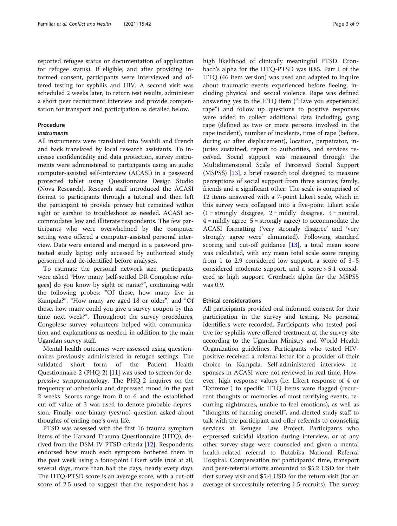reported refugee status or documentation of application for refugee status). If eligible, and after providing informed consent, participants were interviewed and offered testing for syphilis and HIV. A second visit was scheduled 2 weeks later, to return test results, administer a short peer recruitment interview and provide compensation for transport and participation as detailed below.

#### Procedure

#### **Instruments**

All instruments were translated into Swahili and French and back translated by local research assistants. To increase confidentiality and data protection, survey instruments were administered to participants using an audio computer-assisted self-interview (ACASI) in a password protected tablet using Questionnaire Design Studio (Nova Research). Research staff introduced the ACASI format to participants through a tutorial and then left the participant to provide privacy but remained within sight or earshot to troubleshoot as needed. ACASI accommodates low and illiterate respondents. The few participants who were overwhelmed by the computer setting were offered a computer-assisted personal interview. Data were entered and merged in a password protected study laptop only accessed by authorized study personnel and de-identified before analyses.

To estimate the personal network size, participants were asked "How many [self-settled DR Congolese refugees] do you know by sight or name?", continuing with the following probes: "Of these, how many live in Kampala?", "How many are aged 18 or older", and "Of these, how many could you give a survey coupon by this time next week?". Throughout the survey procedures, Congolese survey volunteers helped with communication and explanations as needed, in addition to the main Ugandan survey staff.

Mental health outcomes were assessed using questionnaires previously administered in refugee settings. The validated short form of the Patient Health Questionnaire-2 (PHQ-2) [[11](#page-8-0)] was used to screen for depressive symptomatology. The PHQ-2 inquires on the frequency of anhedonia and depressed mood in the past 2 weeks. Scores range from 0 to 6 and the established cut-off value of 3 was used to denote probable depression. Finally, one binary (yes/no) question asked about thoughts of ending one's own life.

PTSD was assessed with the first 16 trauma symptom items of the Harvard Trauma Questionnaire (HTQ), derived from the DSM-IV PTSD criteria [\[12](#page-8-0)]. Respondents endorsed how much each symptom bothered them in the past week using a four-point Likert scale (not at all, several days, more than half the days, nearly every day). The HTQ-PTSD score is an average score, with a cut-off score of 2.5 used to suggest that the respondent has a high likelihood of clinically meaningful PTSD. Cronbach's alpha for the HTQ-PTSD was 0.85. Part I of the HTQ (46 item version) was used and adapted to inquire about traumatic events experienced before fleeing, including physical and sexual violence. Rape was defined answering yes to the HTQ item ("Have you experienced rape") and follow up questions to positive responses were added to collect additional data including, gang rape (defined as two or more persons involved in the rape incident), number of incidents, time of rape (before, during or after displacement), location, perpetrator, injuries sustained, report to authorities, and services received. Social support was measured through the Multidimensional Scale of Perceived Social Support (MSPSS) [\[13](#page-8-0)], a brief research tool designed to measure perceptions of social support from three sources; family, friends and a significant other. The scale is comprised of 12 items answered with a 7-point Likert scale, which in this survey were collapsed into a five-point Likert scale  $(1 = \text{strongly disagree}, 2 = \text{mildly disagree}, 3 = \text{neutral},$  $4 =$  mildly agree,  $5 =$  strongly agree) to accommodate the ACASI formatting ('very strongly disagree' and 'very strongly agree were' eliminated). Following standard scoring and cut-off guidance  $[13]$  $[13]$  $[13]$ , a total mean score was calculated, with any mean total scale score ranging from 1 to 2.9 considered low support, a score of 3–5 considered moderate support, and a score > 5.1 considered as high support. Cronbach alpha for the MSPSS was 0.9.

#### Ethical considerations

All participants provided oral informed consent for their participation in the survey and testing. No personal identifiers were recorded. Participants who tested positive for syphilis were offered treatment at the survey site according to the Ugandan Ministry and World Health Organization guidelines. Participants who tested HIVpositive received a referral letter for a provider of their choice in Kampala. Self-administered interview responses in ACASI were not reviewed in real time. However, high response values (i.e. Likert response of 4 or "Extreme") to specific HTQ items were flagged (recurrent thoughts or memories of most terrifying events, recurring nightmares, unable to feel emotions), as well as "thoughts of harming oneself", and alerted study staff to talk with the participant and offer referrals to counseling services at Refugee Law Project. Participants who expressed suicidal ideation during interview, or at any other survey stage were counseled and given a mental health-related referral to Butabika National Referral Hospital. Compensation for participants' time, transport and peer-referral efforts amounted to \$5.2 USD for their first survey visit and \$5.4 USD for the return visit (for an average of successfully referring 1.5 recruits). The survey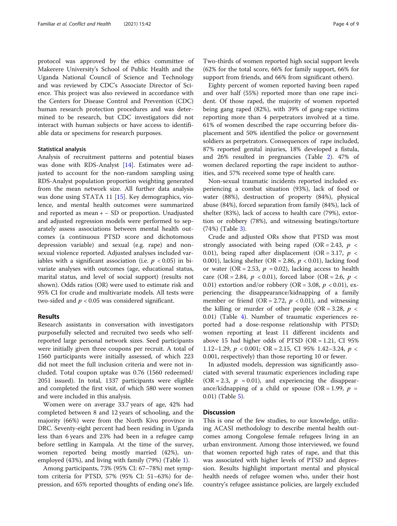protocol was approved by the ethics committee of Makerere University's School of Public Health and the Uganda National Council of Science and Technology and was reviewed by CDC's Associate Director of Science. This project was also reviewed in accordance with the Centers for Disease Control and Prevention (CDC) human research protection procedures and was determined to be research, but CDC investigators did not interact with human subjects or have access to identifiable data or specimens for research purposes.

#### Statistical analysis

Analysis of recruitment patterns and potential biases was done with RDS-Analyst [\[14](#page-8-0)]. Estimates were adjusted to account for the non-random sampling using RDS-Analyst population proportion weighting generated from the mean network size. All further data analysis was done using STATA 11 [\[15](#page-8-0)]. Key demographics, violence, and mental health outcomes were summarized and reported as mean  $+$  – SD or proportion. Unadjusted and adjusted regression models were performed to separately assess associations between mental health outcomes (a continuous PTSD score and dichotomous depression variable) and sexual (e.g. rape) and nonsexual violence reported. Adjusted analyses included variables with a significant association (i.e.  $p < 0.05$ ) in bivariate analyses with outcomes (age, educational status, marital status, and level of social support) (results not shown). Odds ratios (OR) were used to estimate risk and 95% CI for crude and multivariate models. All tests were two-sided and  $p < 0.05$  was considered significant.

#### Results

Research assistants in conversation with investigators purposefully selected and recruited two seeds who selfreported large personal network sizes. Seed participants were initially given three coupons per recruit. A total of 1560 participants were initially assessed, of which 223 did not meet the full inclusion criteria and were not included. Total coupon uptake was 0.76 (1560 redeemed/ 2051 issued). In total, 1337 participants were eligible and completed the first visit, of which 580 were women and were included in this analysis.

Women were on average 33.7 years of age, 42% had completed between 8 and 12 years of schooling, and the majority (66%) were from the North Kivu province in DRC. Seventy-eight percent had been residing in Uganda less than 6 years and 23% had been in a refugee camp before settling in Kampala. At the time of the survey, women reported being mostly married (42%), unemployed (43%), and living with family (79%) (Table [1](#page-4-0)).

Among participants, 73% (95% CI: 67–78%) met symptom criteria for PTSD, 57% (95% CI: 51–63%) for depression, and 65% reported thoughts of ending one's life.

Two-thirds of women reported high social support levels (62% for the total score, 66% for family support, 66% for support from friends, and 66% from significant others).

Eighty percent of women reported having been raped and over half (55%) reported more than one rape incident. Of those raped, the majority of women reported being gang raped (82%), with 39% of gang-rape victims reporting more than 4 perpetrators involved at a time. 61% of women described the rape occurring before displacement and 50% identified the police or government soldiers as perpetrators. Consequences of rape included, 87% reported genital injuries, 18% developed a fistula, and 26% resulted in pregnancies (Table [2\)](#page-4-0). 47% of women declared reporting the rape incident to authorities, and 57% received some type of health care.

Non-sexual traumatic incidents reported included experiencing a combat situation (93%), lack of food or water (88%), destruction of property (84%), physical abuse (84%), forced separation from family (84%), lack of shelter (83%), lack of access to health care (79%), extortion or robbery (78%), and witnessing beatings/torture (74%) (Table [3\)](#page-5-0).

Crude and adjusted ORs show that PTSD was most strongly associated with being raped (OR = 2.43,  $p \lt \sqrt{ }$ 0.01), being raped after displacement (OR = 3.17,  $p \lt \theta$ 0.001), lacking shelter (OR = 2.86,  $p < 0.01$ ), lacking food or water (OR = 2.53,  $p = 0.02$ ), lacking access to health care (OR = 2.84,  $p < 0.01$ ), forced labor (OR = 2.6,  $p <$ 0.01) extortion and/or robbery (OR = 3.08,  $p < 0.01$ ), experiencing the disappearance/kidnapping of a family member or friend (OR = 2.72,  $p < 0.01$ ), and witnessing the killing or murder of other people (OR = 3.28,  $p \lt$ 0.01) (Table [4](#page-6-0)). Number of traumatic experiences reported had a dose-response relationship with PTSD; women reporting at least 11 different incidents and above 15 had higher odds of PTSD (OR = 1.21, CI 95% 1.12–1.29,  $p < 0.001$ ; OR = 2.15, CI 95% 1.42–3.24,  $p <$ 0.001, respectively) than those reporting 10 or fewer.

In adjusted models, depression was significantly associated with several traumatic experiences including rape  $(OR = 2.3, p = 0.01)$ , and experiencing the disappearance/kidnapping of a child or spouse (OR = 1.99,  $p =$ 0.01) (Table [5\)](#page-7-0).

#### **Discussion**

This is one of the few studies, to our knowledge, utilizing ACASI methodology to describe mental health outcomes among Congolese female refugees living in an urban environment. Among those interviewed, we found that women reported high rates of rape, and that this was associated with higher levels of PTSD and depression. Results highlight important mental and physical health needs of refugee women who, under their host country's refugee assistance policies, are largely excluded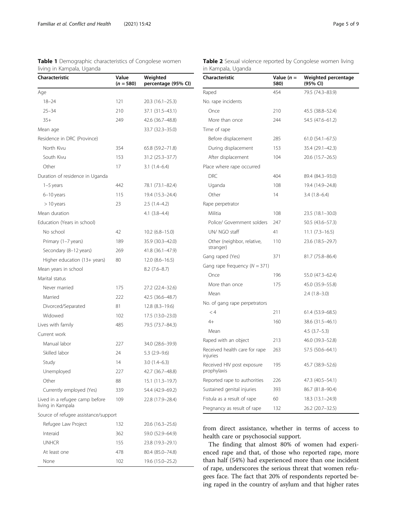<span id="page-4-0"></span>Table 1 Demographic characteristics of Congolese women

| Characteristic<br>Weighted<br>Value<br>$(n = 580)$<br>percentage (95% CI)<br>Age<br>$18 - 24$<br>121<br>20.3 (16.1–25.3)<br>$25 - 34$<br>210<br>37.1 (31.5-43.1)<br>$35+$<br>249<br>42.6 (36.7–48.8)<br>33.7 (32.3-35.0)<br>Mean age<br>Residence in DRC (Province) |  |
|---------------------------------------------------------------------------------------------------------------------------------------------------------------------------------------------------------------------------------------------------------------------|--|
|                                                                                                                                                                                                                                                                     |  |
|                                                                                                                                                                                                                                                                     |  |
|                                                                                                                                                                                                                                                                     |  |
|                                                                                                                                                                                                                                                                     |  |
|                                                                                                                                                                                                                                                                     |  |
|                                                                                                                                                                                                                                                                     |  |
|                                                                                                                                                                                                                                                                     |  |
| North Kivu<br>354<br>65.8 (59.2–71.8)                                                                                                                                                                                                                               |  |
| South Kivu<br>153<br>31.2 (25.3-37.7)                                                                                                                                                                                                                               |  |
| Other<br>17<br>$3.1(1.4-6.4)$                                                                                                                                                                                                                                       |  |
| Duration of residence in Uganda                                                                                                                                                                                                                                     |  |
| $1-5$ years<br>442<br>78.1 (73.1–82.4)                                                                                                                                                                                                                              |  |
| 115<br>19.4 (15.3-24.4)<br>6-10 years                                                                                                                                                                                                                               |  |
| 23<br>$>10$ years<br>$2.5(1.4-4.2)$                                                                                                                                                                                                                                 |  |
| Mean duration<br>$4.1(3.8-4.4)$                                                                                                                                                                                                                                     |  |
| Education (Years in school)                                                                                                                                                                                                                                         |  |
| No school<br>42<br>$10.2$ (6.8–15.0)                                                                                                                                                                                                                                |  |
| Primary (1-7 years)<br>189<br>35.9 (30.3–42.0)                                                                                                                                                                                                                      |  |
| Secondary (8-12 years)<br>41.8 (36.1-47.9)<br>269                                                                                                                                                                                                                   |  |
| Higher education (13+ years)<br>80<br>$12.0 (8.6 - 16.5)$                                                                                                                                                                                                           |  |
| Mean years in school<br>$8.2(7.6-8.7)$                                                                                                                                                                                                                              |  |
| Marital status                                                                                                                                                                                                                                                      |  |
| Never married<br>175<br>27.2 (22.4–32.6)                                                                                                                                                                                                                            |  |
| Married<br>222<br>42.5 (36.6–48.7)                                                                                                                                                                                                                                  |  |
| Divorced/Separated<br>81<br>$12.8$ (8.3-19.6)                                                                                                                                                                                                                       |  |
| Widowed<br>102<br>17.5 (13.0–23.0)                                                                                                                                                                                                                                  |  |
| Lives with family<br>485<br>79.5 (73.7-84.3)                                                                                                                                                                                                                        |  |
| Current work                                                                                                                                                                                                                                                        |  |
| Manual labor<br>227<br>34.0 (28.6–39.9)                                                                                                                                                                                                                             |  |
| Skilled labor<br>24<br>$5.3$ $(2.9-9.6)$                                                                                                                                                                                                                            |  |
| Study<br>$3.0(1.4-6.3)$<br>14                                                                                                                                                                                                                                       |  |
| 42.7 (36.7-48.8)<br>Unemployed<br>227                                                                                                                                                                                                                               |  |
| Other<br>88<br>15.1 (11.3-19.7)                                                                                                                                                                                                                                     |  |
| Currently employed (Yes)<br>54.4 (42.9-69.2)<br>339                                                                                                                                                                                                                 |  |
| Lived in a refugee camp before<br>22.8 (17.9-28.4)<br>109<br>living in Kampala                                                                                                                                                                                      |  |
| Source of refugee assistance/support                                                                                                                                                                                                                                |  |
| Refugee Law Project<br>132<br>20.6 (16.3-25.6)                                                                                                                                                                                                                      |  |
| Interaid<br>59.0 (52.9-64.9)<br>362                                                                                                                                                                                                                                 |  |
| <b>UNHCR</b><br>155<br>23.8 (19.3–29.1)                                                                                                                                                                                                                             |  |
| At least one<br>478<br>80.4 (85.0-74.8)                                                                                                                                                                                                                             |  |
| None<br>102<br>19.6 (15.0-25.2)                                                                                                                                                                                                                                     |  |

| <b>Table 2</b> Sexual violence reported by Congolese women living |  |  |
|-------------------------------------------------------------------|--|--|
| in Kampala, Uganda                                                |  |  |

| Characteristic                            | Value $(n =$<br>580) | Weighted percentage<br>(95% CI) |
|-------------------------------------------|----------------------|---------------------------------|
| Raped                                     | 454                  | 79.5 (74.3-83.9)                |
| No. rape incidents                        |                      |                                 |
| Once                                      | 210                  | 45.5 (38.8–52.4)                |
| More than once                            | 244                  | 54.5 (47.6-61.2)                |
| Time of rape                              |                      |                                 |
| Before displacement                       | 285                  | $61.0(54.1-67.5)$               |
| During displacement                       | 153                  | 35.4 (29.1-42.3)                |
| After displacement                        | 104                  | 20.6 (15.7-26.5)                |
| Place where rape occurred                 |                      |                                 |
| <b>DRC</b>                                | 404                  | 89.4 (84.3-93.0)                |
| Uganda                                    | 108                  | 19.4 (14.9-24.8)                |
| Other                                     | 14                   | $3.4(1.8-6.4)$                  |
| Rape perpetrator                          |                      |                                 |
| Militia                                   | 108                  | $23.5(18.1-30.0)$               |
| Police/ Government solders                | 247                  | 50.5 (43.6–57.3)                |
| UN/ NGO staff                             | 41                   | $11.1 (7.3 - 16.5)$             |
| Other (neighbor, relative,<br>stranger)   | 110                  | 23.6 (18.5–29.7)                |
| Gang raped (Yes)                          | 371                  | 81.7 (75.8–86.4)                |
| Gang rape frequency ( $N = 371$ )         |                      |                                 |
| Once                                      | 196                  | 55.0 (47.3-62.4)                |
| More than once                            | 175                  | 45.0 (35.9 - 55.8)              |
| Mean                                      |                      | $2.4(1.8-3.0)$                  |
| No. of gang rape perpetrators             |                      |                                 |
| < 4                                       | 211                  | 61.4 (53.9-68.5)                |
| $4+$                                      | 160                  | 38.6 (31.5-46.1)                |
| Mean                                      |                      | $4.5$ $(3.7-5.3)$               |
| Raped with an object                      | 213                  | 46.0 (39.3–52.8)                |
| Received health care for rape<br>injuries | 263                  | 57.5 (50.6-64.1)                |
| Received HIV post exposure<br>prophylaxis | 195                  | 45.7 (38.9–52.6)                |
| Reported rape to authorities              | 226                  | 47.3 (40.5-54.1)                |
| Sustained genital injuries                | 393                  | 86.7 (81.8-90.4)                |
| Fistula as a result of rape               | 60                   | 18.3 (13.1-24.9)                |
| Pregnancy as result of rape               | 132                  | 26.2 (20.7-32.5)                |

from direct assistance, whether in terms of access to health care or psychosocial support.

The finding that almost 80% of women had experienced rape and that, of those who reported rape, more than half (54%) had experienced more than one incident of rape, underscores the serious threat that women refugees face. The fact that 20% of respondents reported being raped in the country of asylum and that higher rates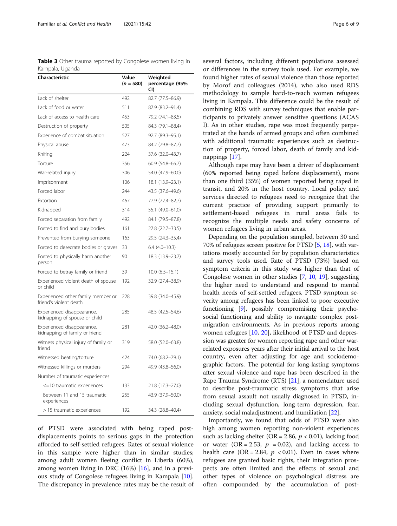<span id="page-5-0"></span>Table 3 Other trauma reported by Congolese women living in Kampala, Uganda

| Characteristic                                               | Value<br>$(n = 580)$ | Weighted<br>percentage (95%<br>CI) |
|--------------------------------------------------------------|----------------------|------------------------------------|
| Lack of shelter                                              | 492                  | 82.7 (77.5-86.9)                   |
| Lack of food or water                                        | 511                  | 87.9 (83.2-91.4)                   |
| Lack of access to health care                                | 453                  | 79.2 (74.1-83.5)                   |
| Destruction of property                                      | 505                  | 84.3 (79.1-88.4)                   |
| Experience of combat situation                               | 527                  | 92.7 (89.3-95.1)                   |
| Physical abuse                                               | 473                  | 84.2 (79.8-87.7)                   |
| Knifing                                                      | 224                  | 37.6 (32.0-43.7)                   |
| Torture                                                      | 356                  | 60.9 (54.8-66.7)                   |
| War-related injury                                           | 306                  | 54.0 (47.9-60.0)                   |
| Imprisonment                                                 | 106                  | 18.1 (13.9-23.1)                   |
| Forced labor                                                 | 244                  | 43.5 (37.6-49.6)                   |
| Extortion                                                    | 467                  | 77.9 (72.4-82.7)                   |
| Kidnapped                                                    | 314                  | 55.1 (49.0-61.0)                   |
| Forced separation from family                                | 492                  | 84.1 (79.5-87.8)                   |
| Forced to find and bury bodies                               | 161                  | 27.8 (22.7-33.5)                   |
| Prevented from burying someone                               | 163                  | 29.5 (24.3-35.4)                   |
| Forced to desecrate bodies or graves                         | 33                   | $6.4(4.0-10.3)$                    |
| Forced to physically harm another<br>person                  | 90                   | 18.3 (13.9-23.7)                   |
| Forced to betray family or friend                            | 39                   | $10.0 (6.5 - 15.1)$                |
| Experienced violent death of spouse<br>or child              | 192                  | 32.9 (27.4-38.9)                   |
| Experienced other family member or<br>friend's violent death | 228                  | 39.8 (34.0-45.9)                   |
| Experienced disappearance,<br>kidnapping of spouse or child  | 285                  | 48.5 (42.5 - 54.6)                 |
| Experienced disappearance,<br>kidnapping of family or friend | 281                  | 42.0 (36.2-48.0)                   |
| Witness physical injury of family or<br>friend               | 319                  | 58.0 (52.0–63.8)                   |
| Witnessed beating/torture                                    | 424                  | 74.0 (68.2-79.1)                   |
| Witnessed killings or murders                                | 294                  | 49.9 (43.8-56.0)                   |
| Number of traumatic experiences                              |                      |                                    |
| <=10 traumatic experiences                                   | 133                  | 21.8 (17.3-27.0)                   |
| Between 11 and 15 traumatic<br>experiences                   | 255                  | 43.9 (37.9-50.0)                   |
| > 15 traumatic experiences                                   | 192                  | 34.3 (28.8-40.4)                   |

of PTSD were associated with being raped postdisplacements points to serious gaps in the protection afforded to self-settled refugees. Rates of sexual violence in this sample were higher than in similar studies; among adult women fleeing conflict in Liberia (60%), among women living in DRC (16%) [[16\]](#page-8-0), and in a previous study of Congolese refugees living in Kampala [\[10](#page-8-0)]. The discrepancy in prevalence rates may be the result of several factors, including different populations assessed or differences in the survey tools used. For example, we found higher rates of sexual violence than those reported by Morof and colleagues (2014), who also used RDS methodology to sample hard-to-reach women refugees living in Kampala. This difference could be the result of combining RDS with survey techniques that enable participants to privately answer sensitive questions (ACAS I). As in other studies, rape was most frequently perpetrated at the hands of armed groups and often combined with additional traumatic experiences such as destruction of property, forced labor, death of family and kidnappings [[17](#page-8-0)].

Although rape may have been a driver of displacement (60% reported being raped before displacement), more than one third (35%) of women reported being raped in transit, and 20% in the host country. Local policy and services directed to refugees need to recognize that the current practice of providing support primarily to settlement-based refugees in rural areas fails to recognize the multiple needs and safety concerns of women refugees living in urban areas.

Depending on the population sampled, between 30 and 70% of refugees screen positive for PTSD [\[5](#page-8-0), [18\]](#page-8-0), with variations mostly accounted for by population characteristics and survey tools used. Rate of PTSD (73%) based on symptom criteria in this study was higher than that of Congolese women in other studies [[7,](#page-8-0) [10,](#page-8-0) [19](#page-8-0)], suggesting the higher need to understand and respond to mental health needs of self-settled refugees. PTSD symptom severity among refugees has been linked to poor executive functioning [[9\]](#page-8-0), possibly compromising their psychosocial functioning and ability to navigate complex postmigration environments. As in previous reports among women refugees [[10](#page-8-0), [20](#page-8-0)], likelihood of PTSD and depression was greater for women reporting rape and other warrelated exposures years after their initial arrival to the host country, even after adjusting for age and sociodemographic factors. The potential for long-lasting symptoms after sexual violence and rape has been described in the Rape Trauma Syndrome (RTS) [\[21\]](#page-8-0), a nomenclature used to describe post-traumatic stress symptoms that arise from sexual assault not usually diagnosed in PTSD, including sexual dysfunction, long-term depression, fear, anxiety, social maladjustment, and humiliation [\[22\]](#page-8-0).

Importantly, we found that odds of PTSD were also high among women reporting non-violent experiences such as lacking shelter (OR = 2.86,  $p < 0.01$ ), lacking food or water (OR = 2.53,  $p = 0.02$ ), and lacking access to health care (OR = 2.84,  $p < 0.01$ ). Even in cases where refugees are granted basic rights, their integration prospects are often limited and the effects of sexual and other types of violence on psychological distress are often compounded by the accumulation of post-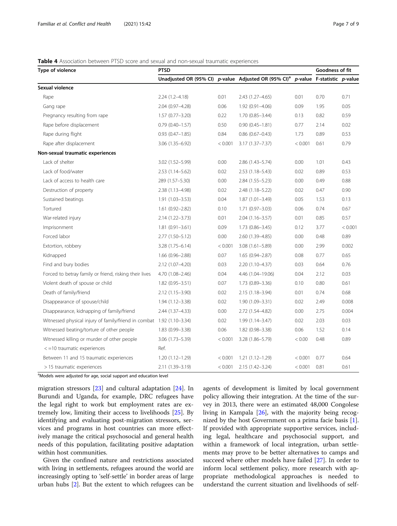#### <span id="page-6-0"></span>**Table 4** Association between PTSD score and sexual and non-sexual traumatic experiences

| Type of violence                                                      | <b>PTSD</b>                                                         |         |                     |         | Goodness of fit             |         |
|-----------------------------------------------------------------------|---------------------------------------------------------------------|---------|---------------------|---------|-----------------------------|---------|
|                                                                       | Unadjusted OR (95% CI) $p$ -value Adjusted OR (95% CI) <sup>a</sup> |         |                     |         | p-value F-statistic p-value |         |
| Sexual violence                                                       |                                                                     |         |                     |         |                             |         |
| Rape                                                                  | $2.24(1.2 - 4.18)$                                                  | 0.01    | 2.43 (1.27-4.65)    | 0.01    | 0.70                        | 0.71    |
| Gang rape                                                             | 2.04 (0.97-4.28)                                                    | 0.06    | 1.92 (0.91-4.06)    | 0.09    | 1.95                        | 0.05    |
| Pregnancy resulting from rape                                         | $1.57(0.77 - 3.20)$                                                 | 0.22    | $1.70(0.85 - 3.44)$ | 0.13    | 0.82                        | 0.59    |
| Rape before displacement                                              | $0.79(0.40 - 1.57)$                                                 | 0.50    | $0.90(0.45 - 1.81)$ | 0.77    | 2.14                        | 0.02    |
| Rape during flight                                                    | $0.93(0.47 - 1.85)$                                                 | 0.84    | $0.86$ (0.67-0.43)  | 1.73    | 0.89                        | 0.53    |
| Rape after displacement                                               | 3.06 (1.35-6.92)                                                    | < 0.001 | $3.17(1.37 - 7.37)$ | < 0.001 | 0.61                        | 0.79    |
| Non-sexual traumatic experiences                                      |                                                                     |         |                     |         |                             |         |
| Lack of shelter                                                       | 3.02 (1.52-5.99)                                                    | 0.00    | 2.86 (1.43-5.74)    | 0.00    | 1.01                        | 0.43    |
| Lack of food/water                                                    | $2.53(1.14 - 5.62)$                                                 | 0.02    | $2.53(1.18 - 5.43)$ | 0.02    | 0.89                        | 0.53    |
| Lack of access to health care                                         | 289 (1.57-5.30)                                                     | 0.00    | $2.84(1.55 - 5.23)$ | 0.00    | 0.49                        | 0.88    |
| Destruction of property                                               | 2.38 (1.13-4.98)                                                    | 0.02    | 2.48 (1.18-5.22)    | 0.02    | 0.47                        | 0.90    |
| Sustained beatings                                                    | $1.91(1.03 - 3.53)$                                                 | 0.04    | $1.87(1.01 - 3.49)$ | 0.05    | 1.53                        | 0.13    |
| Tortured                                                              | $1.61(0.92 - 2.82)$                                                 | 0.10    | $1.71(0.97 - 3.03)$ | 0.06    | 0.74                        | 0.67    |
| War-related injury                                                    | $2.14(1.22 - 3.73)$                                                 | 0.01    | $2.04(1.16 - 3.57)$ | 0.01    | 0.85                        | 0.57    |
| Imprisonment                                                          | $1.81(0.91 - 3.61)$                                                 | 0.09    | $1.73(0.86 - 3.45)$ | 0.12    | 3.77                        | < 0.001 |
| Forced labor                                                          | $2.77(1.50 - 5.12)$                                                 | 0.00    | 2.60 (1.39-4.85)    | 0.00    | 0.48                        | 0.89    |
| Extortion, robbery                                                    | $3.28(1.75 - 6.14)$                                                 | < 0.001 | $3.08(1.61 - 5.89)$ | 0.00    | 2.99                        | 0.002   |
| Kidnapped                                                             | $1.66(0.96 - 2.88)$                                                 | 0.07    | $1.65(0.94 - 2.87)$ | 0.08    | 0.77                        | 0.65    |
| Find and bury bodies                                                  | 2.12 (1.07-4.20)                                                    | 0.03    | 2.20 (1.10-4.37)    | 0.03    | 0.64                        | 0.76    |
| Forced to betray family or friend, risking their lives                | 4.70 (1.08-2.46)                                                    | 0.04    | 4.46 (1.04-19.06)   | 0.04    | 2.12                        | 0.03    |
| Violent death of spouse or child                                      | $1.82(0.95 - 3.51)$                                                 | 0.07    | 1.73 (0.89-3.36)    | 0.10    | 0.80                        | 0.61    |
| Death of family/friend                                                | $2.12(1.15 - 3.90)$                                                 | 0.02    | 2.15 (1.18-3.94)    | 0.01    | 0.74                        | 0.68    |
| Disappearance of spouse/child                                         | $1.94(1.12 - 3.38)$                                                 | 0.02    | $1.90(1.09 - 3.31)$ | 0.02    | 2.49                        | 0.008   |
| Disappearance, kidnapping of family/friend                            | 2.44 (1.37-4.33)                                                    | 0.00    | 2.72 (1.54-4.82)    | 0.00    | 2.75                        | 0.004   |
| Witnessed physical injury of family/friend in combat 1.92 (1.10-3.34) |                                                                     | 0.02    | 1.99 (1.14-3.47)    | 0.02    | 2.03                        | 0.03    |
| Witnessed beating/torture of other people                             | 1.83 (0.99-3.38)                                                    | 0.06    | 1.82 (0.98-3.38)    | 0.06    | 1.52                        | 0.14    |
| Witnessed killing or murder of other people                           | 3.06 (1.73-5.39)                                                    | < 0.001 | 3.28 (1.86-5.79)    | < 0.00  | 0.48                        | 0.89    |
| $<-10$ traumatic experiences                                          | Ref.                                                                |         |                     |         |                             |         |
| Between 11 and 15 traumatic experiences                               | $1.20(1.12 - 1.29)$                                                 | < 0.001 | $1.21(1.12 - 1.29)$ | < 0.001 | 0.77                        | 0.64    |
| > 15 traumatic experiences                                            | 2.11 (1.39-3.19)                                                    | < 0.001 | 2.15 (1.42-3.24)    | < 0.001 | 0.81                        | 0.61    |

<sup>a</sup>Models were adjusted for age, social support and education level

migration stressors [\[23](#page-8-0)] and cultural adaptation [[24\]](#page-8-0). In Burundi and Uganda, for example, DRC refugees have the legal right to work but employment rates are extremely low, limiting their access to livelihoods [\[25](#page-8-0)]. By identifying and evaluating post-migration stressors, services and programs in host countries can more effectively manage the critical psychosocial and general health needs of this population, facilitating positive adaptation within host communities.

Given the confined nature and restrictions associated with living in settlements, refugees around the world are increasingly opting to 'self-settle' in border areas of large urban hubs [\[2](#page-8-0)]. But the extent to which refugees can be

agents of development is limited by local government policy allowing their integration. At the time of the survey in 2013, there were an estimated 48,000 Congolese living in Kampala [[26](#page-8-0)], with the majority being recognized by the host Government on a prima facie basis [\[1](#page-8-0)]. If provided with appropriate supportive services, including legal, healthcare and psychosocial support, and within a framework of local integration, urban settlements may prove to be better alternatives to camps and succeed where other models have failed [[27\]](#page-8-0). In order to inform local settlement policy, more research with appropriate methodological approaches is needed to understand the current situation and livelihoods of self-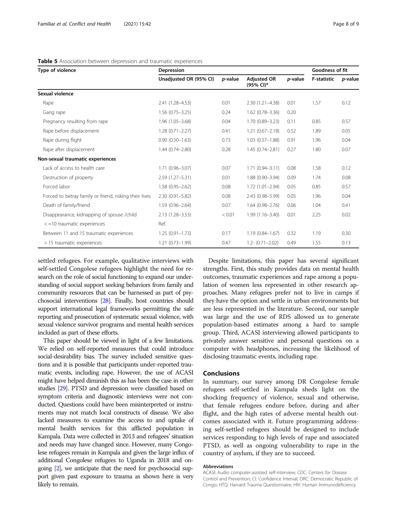| Type of violence                                       | Depression             |                 |                                 |                 | Goodness of fit    |                 |
|--------------------------------------------------------|------------------------|-----------------|---------------------------------|-----------------|--------------------|-----------------|
|                                                        | Unadjusted OR (95% CI) | <i>p</i> -value | <b>Adiusted OR</b><br>(95% CI)* | <i>p</i> -value | <b>F-statistic</b> | <i>p</i> -value |
| Sexual violence                                        |                        |                 |                                 |                 |                    |                 |
| Rape                                                   | 2.41 (1.28-4.53)       | 0.01            | $2.30(1.21 - 4.38)$             | 0.01            | 1.57               | 0.12            |
| Gang rape                                              | $1.56(0.75 - 3.25)$    | 0.24            | $1.62(0.78 - 3.36)$             | 0.20            |                    |                 |
| Pregnancy resulting from rape                          | $1.96(1.05 - 3.68)$    | 0.04            | $1.70(0.89 - 3.23)$             | 0.11            | 0.85               | 0.57            |
| Rape before displacement                               | $1.28(0.71 - 2.27)$    | 0.41            | $1.21(0.67 - 2.18)$             | 0.52            | 1.89               | 0.05            |
| Rape during flight                                     | $0.90(0.50 - 1.63)$    | 0.73            | $1.03(0.57 - 1.88)$             | 0.91            | 1.96               | 0.04            |
| Rape after displacement                                | $1.44(0.74 - 2.80)$    | 0.28            | $1.45(0.74 - 2.81)$             | 0.27            | 1.80               | 0.07            |
| Non-sexual traumatic experiences                       |                        |                 |                                 |                 |                    |                 |
| Lack of access to health care                          | $1.71(0.96 - 3.07)$    | 0.07            | $1.71(0.94 - 3.11)$             | 0.08            | 1.58               | 0.12            |
| Destruction of property                                | 2.59 (1.27-5.31)       | 0.01            | $1.88(0.90 - 3.94)$             | 0.09            | 1.74               | 0.08            |
| Forced labor                                           | $1.58(0.95 - 2.62)$    | 0.08            | $1.72(1.01 - 2.94)$             | 0.05            | 0.85               | 0.57            |
| Forced to betray family or friend, risking their lives | $2.30(0.91 - 5.82)$    | 0.08            | 2.43 (0.98-5.99)                | 0.05            | 1.96               | 0.04            |
| Death of family/friend                                 | $1.59(0.96 - 2.64)$    | 0.07            | $1.64(0.98 - 2.76)$             | 0.06            | 1.04               | 0.41            |
| Disappearance, kidnapping of spouse /child             | $2.13(1.28 - 3.53)$    | < 0.01          | $1.99(1.16 - 3.40)$             | 0.01            | 2.25               | 0.02            |
| $<$ =10 traumatic experiences                          | Ref.                   |                 |                                 |                 |                    |                 |
| Between 11 and 15 traumatic experiences                | $1.25(0.91 - 1.73)$    | 0.17            | $1.19(0.84 - 1.67)$             | 0.32            | 1.19               | 0.30            |
| > 15 traumatic experiences                             | $1.21(0.73 - 1.99)$    | 0.47            | $1.2 - (0.71 - 2.02)$           | 0.49            | 1.55               | 0.13            |

#### <span id="page-7-0"></span>Table 5 Association between depression and traumatic experiences

settled refugees. For example, qualitative interviews with self-settled Congolese refugees highlight the need for research on the role of social functioning to expand our understanding of social support seeking behaviors from family and community resources that can be harnessed as part of psychosocial interventions [[28\]](#page-8-0). Finally, host countries should support international legal frameworks permitting the safe reporting and prosecution of systematic sexual violence, with sexual violence survivor programs and mental health services included as part of these efforts.

This paper should be viewed in light of a few limitations. We relied on self-reported measures that could introduce social-desirability bias. The survey included sensitive questions and it is possible that participants under-reported traumatic events, including rape. However, the use of ACASI might have helped diminish this as has been the case in other studies [\[29\]](#page-8-0). PTSD and depression were classified based on symptom criteria and diagnostic interviews were not conducted. Questions could have been misinterpreted or instruments may not match local constructs of disease. We also lacked measures to examine the access to and uptake of mental health services for this afflicted population in Kampala. Data were collected in 2013 and refugees' situation and needs may have changed since. However, many Congolese refugees remain in Kampala and given the large influx of additional Congolese refugees to Uganda in 2018 and ongoing [\[2\]](#page-8-0), we anticipate that the need for psychosocial support given past exposure to trauma as shown here is very likely to remain.

Despite limitations, this paper has several significant strengths. First, this study provides data on mental health outcomes, traumatic experiences and rape among a population of women less represented in other research approaches. Many refugees prefer not to live in camps if they have the option and settle in urban environments but are less represented in the literature. Second, our sample was large and the use of RDS allowed us to generate population-based estimates among a hard to sample group. Third, ACASI interviewing allowed participants to privately answer sensitive and personal questions on a computer with headphones, increasing the likelihood of disclosing traumatic events, including rape.

#### Conclusions

In summary, our survey among DR Congolese female refugees self-settled in Kampala sheds light on the shocking frequency of violence, sexual and otherwise, that female refugees endure before, during and after flight, and the high rates of adverse mental health outcomes associated with it. Future programming addressing self-settled refugees should be designed to include services responding to high levels of rape and associated PTSD, as well as ongoing vulnerability to rape in the country of asylum, if they are to succeed.

#### Abbreviations

ACASI: Audio computer-assisted self-interview; CDC: Centers for Disease Control and Prevention; CI: Confidence Interval; DRC: Democratic Republic of Congo; HTQ: Harvard Trauma Questionnaire; HIV: Human Immunodeficiency